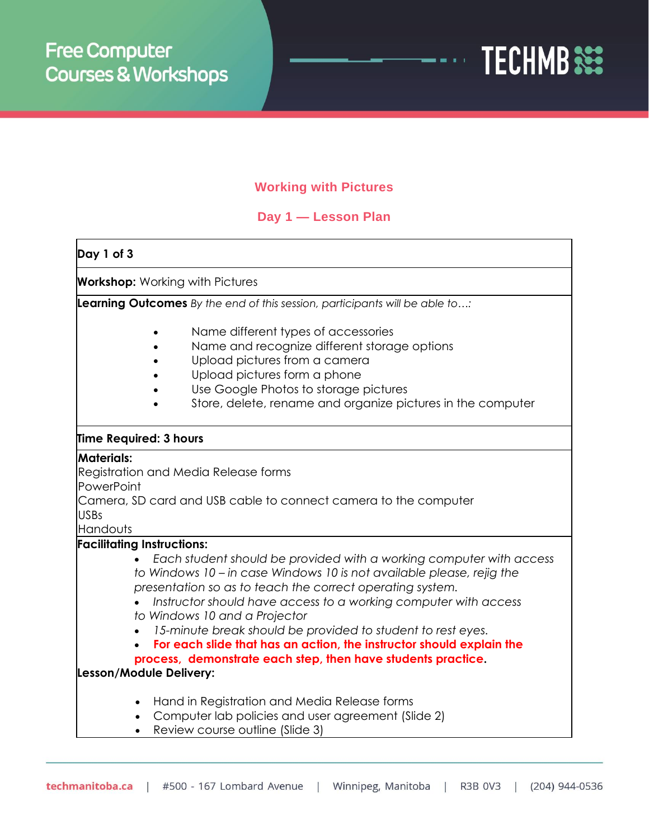

## **Working with Pictures**

### **Day 1 — Lesson Plan**

# **Day 1 of 3**

**Workshop:** Working with Pictures

**Learning Outcomes** *By the end of this session, participants will be able to…:*

- Name different types of accessories
- Name and recognize different storage options
- Upload pictures from a camera
- Upload pictures form a phone
- Use Google Photos to storage pictures
- Store, delete, rename and organize pictures in the computer

#### **Time Required: 3 hours**

#### **Materials:**

Registration and Media Release forms

PowerPoint

Camera, SD card and USB cable to connect camera to the computer USBs

**Handouts** 

#### **Facilitating Instructions:**

• *Each student should be provided with a working computer with access* 

*to Windows 10 – in case Windows 10 is not available please, rejig the presentation so as to teach the correct operating system.*

- *Instructor should have access to a working computer with access to Windows 10 and a Projector*
- *15-minute break should be provided to student to rest eyes.*

• **For each slide that has an action, the instructor should explain the process, demonstrate each step, then have students practice.**

#### **Lesson/Module Delivery:**

- Hand in Registration and Media Release forms
- Computer lab policies and user agreement (Slide 2)
- Review course outline (Slide 3)